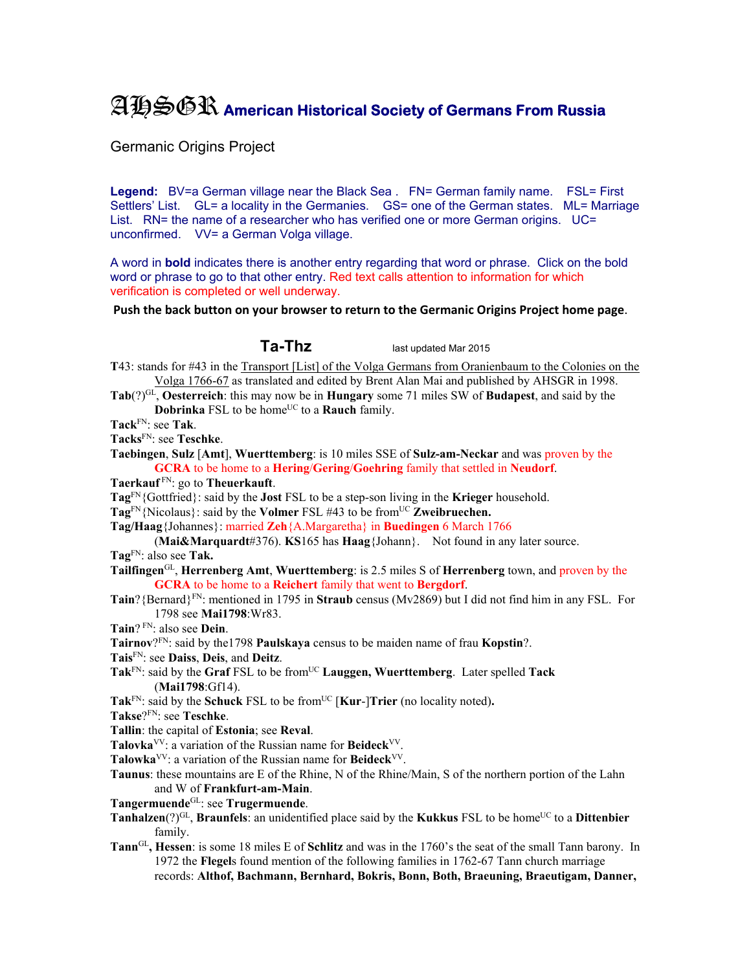## AHSGR **American Historical Society of Germans From Russia**

Germanic Origins Project

Legend: BV=a German village near the Black Sea . FN= German family name. FSL= First Settlers' List. GL= a locality in the Germanies. GS= one of the German states. ML= Marriage List. RN= the name of a researcher who has verified one or more German origins. UC= unconfirmed. VV= a German Volga village.

A word in **bold** indicates there is another entry regarding that word or phrase. Click on the bold word or phrase to go to that other entry. Red text calls attention to information for which verification is completed or well underway.

**Push the back button on your browser to return to the Germanic Origins Project home page**.

**Ta-Thz** last updated Mar 2015

**T**43: stands for #43 in the Transport [List] of the Volga Germans from Oranienbaum to the Colonies on the Volga 1766-67 as translated and edited by Brent Alan Mai and published by AHSGR in 1998.

**Tab**(?)GL, **Oesterreich**: this may now be in **Hungary** some 71 miles SW of **Budapest**, and said by the **Dobrinka** FSL to be home<sup>UC</sup> to a **Rauch** family.

**Tack**FN: see **Tak**.

**Tacks**FN: see **Teschke**.

**Taebingen**, **Sulz** [**Amt**], **Wuerttemberg**: is 10 miles SSE of **Sulz-am-Neckar** and was proven by the **GCRA** to be home to a **Hering**/**Gering**/**Goehring** family that settled in **Neudorf**.

**Taerkauf** FN: go to **Theuerkauft**.

**Tag**FN{Gottfried}: said by the **Jost** FSL to be a step-son living in the **Krieger** household.

**Tag**FN{Nicolaus}: said by the **Volmer** FSL #43 to be fromUC **Zweibruechen.** 

**Tag/Haag**{Johannes}: married **Zeh**{A.Margaretha} in **Buedingen** 6 March 1766

(**Mai&Marquardt**#376). **KS**165 has **Haag**{Johann}. Not found in any later source. **Tag**FN: also see **Tak.** 

- **Tailfingen**GL, **Herrenberg Amt**, **Wuerttemberg**: is 2.5 miles S of **Herrenberg** town, and proven by the **GCRA** to be home to a **Reichert** family that went to **Bergdorf**.
- **Tain**?{Bernard}FN: mentioned in 1795 in **Straub** census (Mv2869) but I did not find him in any FSL. For 1798 see **Mai1798**:Wr83.

**Tain**? FN: also see **Dein**.

**Tairnov**?FN: said by the1798 **Paulskaya** census to be maiden name of frau **Kopstin**?.

**Tais**FN: see **Daiss**, **Deis**, and **Deitz**.

Tak<sup>FN</sup>: said by the Graf FSL to be from<sup>UC</sup> Lauggen, Wuerttemberg. Later spelled Tack (**Mai1798**:Gf14).

Tak<sup>FN</sup>: said by the **Schuck** FSL to be from<sup>UC</sup> [**Kur-**]Trier (no locality noted).

**Takse**?FN: see **Teschke**.

**Tallin**: the capital of **Estonia**; see **Reval**.

**Talovka**VV: a variation of the Russian name for **Beideck**VV.

**Talowka**VV: a variation of the Russian name for **Beideck**VV.

**Taunus**: these mountains are E of the Rhine, N of the Rhine/Main, S of the northern portion of the Lahn and W of **Frankfurt-am-Main**.

**Tangermuende**GL: see **Trugermuende**.

**Tanhalzen**(?)<sup>GL</sup>, **Braunfels**: an unidentified place said by the **Kukkus** FSL to be home<sup>UC</sup> to a **Dittenbier** family.

**Tann**GL**, Hessen**: is some 18 miles E of **Schlitz** and was in the 1760's the seat of the small Tann barony. In 1972 the **Flegel**s found mention of the following families in 1762-67 Tann church marriage records: **Althof, Bachmann, Bernhard, Bokris, Bonn, Both, Braeuning, Braeutigam, Danner,**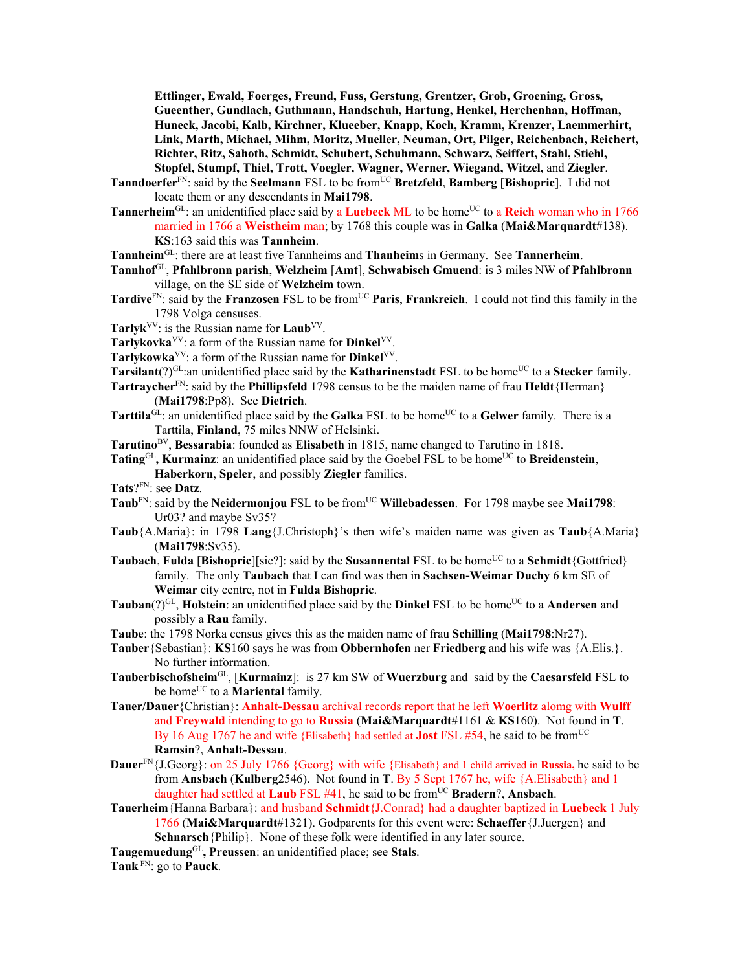**Ettlinger, Ewald, Foerges, Freund, Fuss, Gerstung, Grentzer, Grob, Groening, Gross, Gueenther, Gundlach, Guthmann, Handschuh, Hartung, Henkel, Herchenhan, Hoffman, Huneck, Jacobi, Kalb, Kirchner, Klueeber, Knapp, Koch, Kramm, Krenzer, Laemmerhirt, Link, Marth, Michael, Mihm, Moritz, Mueller, Neuman, Ort, Pilger, Reichenbach, Reichert, Richter, Ritz, Sahoth, Schmidt, Schubert, Schuhmann, Schwarz, Seiffert, Stahl, Stiehl, Stopfel, Stumpf, Thiel, Trott, Voegler, Wagner, Werner, Wiegand, Witzel,** and **Ziegler**.

- **Tanndoerfer**<sup>FN</sup>: said by the **Seelmann** FSL to be from<sup>UC</sup> **Bretzfeld**, **Bamberg** [Bishopric]. I did not locate them or any descendants in **Mai1798**.
- **Tannerheim**<sup>GL</sup>: an unidentified place said by a **Luebeck** ML to be home<sup>UC</sup> to a **Reich** woman who in 1766 married in 1766 a **Weistheim** man; by 1768 this couple was in **Galka** (**Mai&Marquardt**#138). **KS**:163 said this was **Tannheim**.

**Tannheim**GL: there are at least five Tannheims and **Thanheim**s in Germany. See **Tannerheim**.

- **Tannhof**GL, **Pfahlbronn parish**, **Welzheim** [**Amt**], **Schwabisch Gmuend**: is 3 miles NW of **Pfahlbronn** village, on the SE side of **Welzheim** town.
- **Tardive**<sup>FN</sup>: said by the **Franzosen** FSL to be from<sup>UC</sup> **Paris**, **Frankreich**. I could not find this family in the 1798 Volga censuses.
- **Tarlyk**VV: is the Russian name for **Laub**VV.
- **Tarlykovka**VV: a form of the Russian name for **Dinkel**VV.
- Tarlykowka<sup>VV</sup>: a form of the Russian name for **Dinkel**<sup>VV</sup>.
- **Tarsilant**(?)<sup>GL</sup>:an unidentified place said by the **Katharinenstadt** FSL to be home<sup>UC</sup> to a **Stecker** family.
- **Tartraycher**FN: said by the **Phillipsfeld** 1798 census to be the maiden name of frau **Heldt**{Herman} (**Mai1798**:Pp8). See **Dietrich**.
- Tarttila<sup>GL</sup>: an unidentified place said by the Galka FSL to be home<sup>UC</sup> to a Gelwer family. There is a Tarttila, **Finland**, 75 miles NNW of Helsinki.
- **Tarutino**BV, **Bessarabia**: founded as **Elisabeth** in 1815, name changed to Tarutino in 1818.
- **Tating**<sup>GL</sup>, **Kurmainz**: an unidentified place said by the Goebel FSL to be home<sup>UC</sup> to **Breidenstein**,
	- **Haberkorn**, **Speler**, and possibly **Ziegler** families.
- **Tats**?FN: see **Datz**.
- **Taub**<sup>FN</sup>: said by the **Neidermonjou** FSL to be from<sup>UC</sup> **Willebadessen**. For 1798 maybe see **Mai1798**: Ur03? and maybe Sv35?
- **Taub**{A.Maria}: in 1798 **Lang**{J.Christoph}'s then wife's maiden name was given as **Taub**{A.Maria} (**Mai1798**:Sv35).
- **Taubach**, **Fulda** [**Bishopric**][sic?]: said by the **Susannental** FSL to be home<sup>UC</sup> to a **Schmidt**{Gottfried} family. The only **Taubach** that I can find was then in **Sachsen-Weimar Duchy** 6 km SE of **Weimar** city centre, not in **Fulda Bishopric**.
- **Tauban**(?)<sup>GL</sup>, **Holstein**: an unidentified place said by the **Dinkel** FSL to be home<sup>UC</sup> to a **Andersen** and possibly a **Rau** family.
- **Taube**: the 1798 Norka census gives this as the maiden name of frau **Schilling** (**Mai1798**:Nr27).
- **Tauber**{Sebastian}: **KS**160 says he was from **Obbernhofen** ner **Friedberg** and his wife was {A.Elis.}. No further information.
- **Tauberbischofsheim**GL, [**Kurmainz**]: is 27 km SW of **Wuerzburg** and said by the **Caesarsfeld** FSL to be home<sup>UC</sup> to a **Mariental** family.
- **Tauer/Dauer**{Christian}: **Anhalt-Dessau** archival records report that he left **Woerlitz** alomg with **Wulff**  and **Freywald** intending to go to **Russia** (**Mai&Marquardt**#1161 & **KS**160). Not found in **T**. By 16 Aug 1767 he and wife {Elisabeth} had settled at **Jost** FSL #54, he said to be from<sup>UC</sup> **Ramsin**?, **Anhalt-Dessau**.
- **Dauer**FN{J.Georg}: on 25 July 1766 {Georg} with wife {Elisabeth} and 1 child arrived in **Russia,** he said to be from **Ansbach** (**Kulberg**2546). Not found in **T**. By 5 Sept 1767 he, wife {A.Elisabeth} and 1 daughter had settled at **Laub** FSL #41, he said to be fromUC **Bradern**?, **Ansbach**.
- **Tauerheim**{Hanna Barbara}: and husband **Schmidt**{J.Conrad} had a daughter baptized in **Luebeck** 1 July 1766 (**Mai&Marquardt**#1321). Godparents for this event were: **Schaeffer**{J.Juergen} and **Schnarsch**{Philip}. None of these folk were identified in any later source.
- **Taugemuedung**GL**, Preussen**: an unidentified place; see **Stals**.

**Tauk** FN: go to **Pauck**.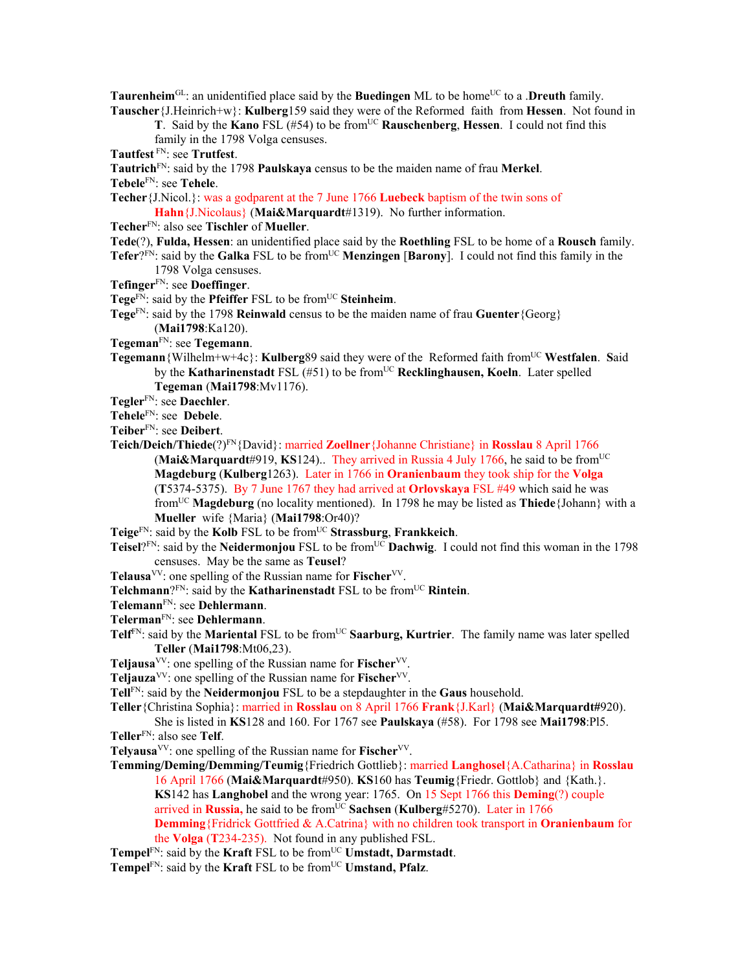**Taurenheim**<sup>GL</sup>: an unidentified place said by the **Buedingen** ML to be home<sup>UC</sup> to a .**Dreuth** family. **Tauscher**{J.Heinrich+w}: **Kulberg**159 said they were of the Reformed faith from **Hessen**. Not found in

**T**. Said by the **Kano** FSL (#54) to be fromUC **Rauschenberg**, **Hessen**. I could not find this

family in the 1798 Volga censuses.

**Tautfest** FN: see **Trutfest**.

**Tautrich**FN: said by the 1798 **Paulskaya** census to be the maiden name of frau **Merkel**.

**Tebele**FN: see **Tehele**.

**Techer**{J.Nicol.}: was a godparent at the 7 June 1766 **Luebeck** baptism of the twin sons of

**Hahn**{J.Nicolaus} (**Mai&Marquardt**#1319). No further information.

- **Techer**FN: also see **Tischler** of **Mueller**.
- **Tede**(?), **Fulda, Hessen**: an unidentified place said by the **Roethling** FSL to be home of a **Rousch** family.
- **Tefer**?FN: said by the **Galka** FSL to be from<sup>UC</sup> **Menzingen** [Barony]. I could not find this family in the 1798 Volga censuses.
- **Tefinger**FN: see **Doeffinger**.
- Tege<sup>FN</sup>: said by the **Pfeiffer** FSL to be from<sup>UC</sup> Steinheim.
- **Tege**FN: said by the 1798 **Reinwald** census to be the maiden name of frau **Guenter**{Georg} (**Mai1798**:Ka120).
- **Tegeman**FN: see **Tegemann**.
- **Tegemann**{Wilhelm+w+4c}: **Kulberg**89 said they were of the Reformed faith fromUC **Westfalen**. **S**aid by the **Katharinenstadt** FSL (#51) to be from<sup>UC</sup> **Recklinghausen, Koeln**. Later spelled **Tegeman** (**Mai1798**:Mv1176).
- **Tegler**FN: see **Daechler**.
- **Tehele**FN: see **Debele**.
- **Teiber**FN: see **Deibert**.
- **Teich/Deich/Thiede**(?)FN{David}: married **Zoellner**{Johanne Christiane} in **Rosslau** 8 April 1766 (Mai $\&$ Marquardt#919, KS124).. They arrived in Russia 4 July 1766, he said to be from<sup>UC</sup> **Magdeburg** (**Kulberg**1263). Later in 1766 in **Oranienbaum** they took ship for the **Volga** (**T**5374-5375). By 7 June 1767 they had arrived at **Orlovskaya** FSL #49 which said he was fromUC **Magdeburg** (no locality mentioned). In 1798 he may be listed as **Thiede**{Johann} with a **Mueller** wife {Maria} (**Mai1798**:Or40)?
- **Teige**FN: said by the **Kolb** FSL to be fromUC **Strassburg**, **Frankkeich**.
- **Teisel**?<sup>FN</sup>: said by the **Neidermonjou** FSL to be from<sup>UC</sup> **Dachwig**. I could not find this woman in the 1798 censuses. May be the same as **Teusel**?
- **Telausa**<sup>VV</sup>: one spelling of the Russian name for **Fischer**<sup>VV</sup>.
- **Telchmann**?<sup>FN</sup>: said by the **Katharinenstadt** FSL to be from<sup>UC</sup> **Rintein**.
- **Telemann**FN: see **Dehlermann**.
- **Telerman**FN: see **Dehlermann**.
- Telf<sup>FN</sup>: said by the **Mariental** FSL to be from<sup>UC</sup> Saarburg, Kurtrier. The family name was later spelled **Teller** (**Mai1798**:Mt06,23).
- **Teliausa**<sup>VV</sup>: one spelling of the Russian name for **Fischer**<sup>VV</sup>.
- **Teljauza**<sup>VV</sup>: one spelling of the Russian name for **Fischer**<sup>VV</sup>.
- **Tell**FN: said by the **Neidermonjou** FSL to be a stepdaughter in the **Gaus** household.

**Teller**{Christina Sophia}: married in **Rosslau** on 8 April 1766 **Frank**{J.Karl} (**Mai&Marquardt#**920). She is listed in **KS**128 and 160. For 1767 see **Paulskaya** (#58). For 1798 see **Mai1798**:Pl5.

- **Teller**FN: also see **Telf**.
- **Telyausa**VV: one spelling of the Russian name for **Fischer**VV.
- **Temming/Deming/Demming/Teumig**{Friedrich Gottlieb}: married **Langhosel**{A.Catharina} in **Rosslau**  16 April 1766 (**Mai&Marquardt**#950). **KS**160 has **Teumig**{Friedr. Gottlob} and {Kath.}. **KS**142 has **Langhobel** and the wrong year: 1765. On 15 Sept 1766 this **Deming**(?) couple arrived in Russia, he said to be from<sup>UC</sup> Sachsen (Kulberg#5270). Later in 1766 **Demming**{Fridrick Gottfried & A.Catrina} with no children took transport in **Oranienbaum** for the **Volga** (**T**234-235). Not found in any published FSL.
- Tempel<sup>FN</sup>: said by the **Kraft** FSL to be from<sup>UC</sup> **Umstadt**, **Darmstadt**.
- **Tempel**<sup>FN</sup>: said by the **Kraft** FSL to be from<sup>UC</sup> **Umstand, Pfalz**.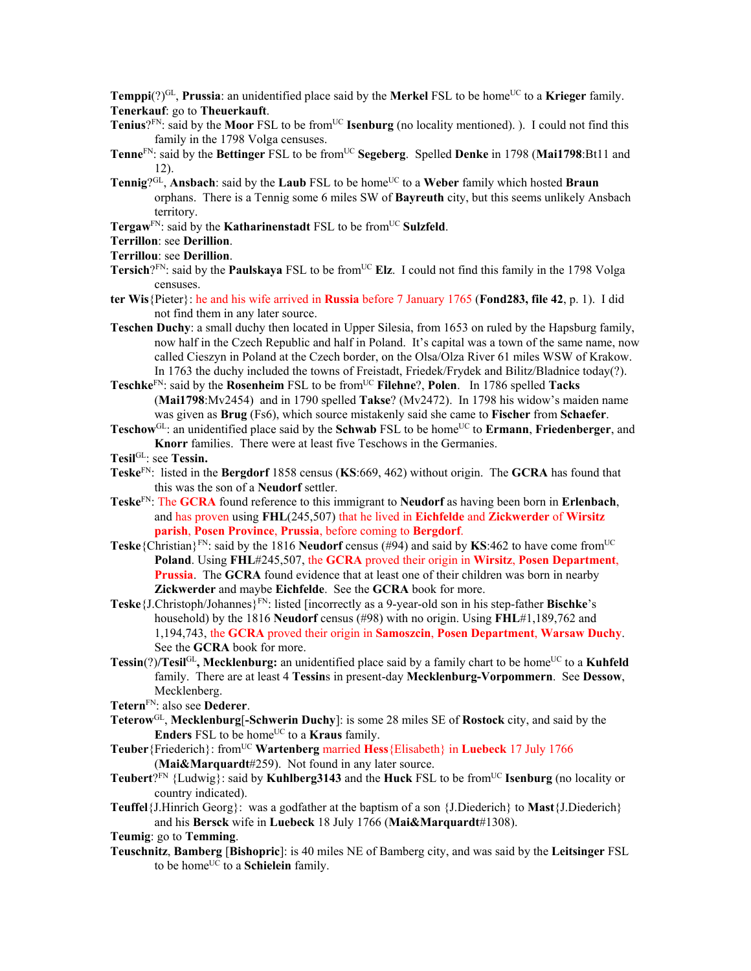**Temppi**(?)<sup>GL</sup>, **Prussia**: an unidentified place said by the **Merkel** FSL to be home<sup>UC</sup> to a **Krieger** family. **Tenerkauf**: go to **Theuerkauft**.

- **Tenius**<sup>?FN</sup>: said by the **Moor** FSL to be from<sup>UC</sup> **Isenburg** (no locality mentioned). ). I could not find this family in the 1798 Volga censuses.
- **Tenne**<sup>FN</sup>: said by the **Bettinger** FSL to be from<sup>UC</sup> **Segeberg**. Spelled **Denke** in 1798 (Mai1798:Bt11 and 12).
- **Tennig**?<sup>GL</sup>, **Ansbach**: said by the **Laub** FSL to be home<sup>UC</sup> to a Weber family which hosted **Braun** orphans. There is a Tennig some 6 miles SW of **Bayreuth** city, but this seems unlikely Ansbach territory.
- **Tergaw<sup>FN</sup>: said by the <b>Katharinenstadt** FSL to be from<sup>UC</sup> Sulzfeld.
- **Terrillon**: see **Derillion**.

```
Terrillou: see Derillion.
```
- **Tersich**?FN: said by the **Paulskaya** FSL to be from<sup>UC</sup> Elz. I could not find this family in the 1798 Volga censuses.
- **ter Wis**{Pieter}: he and his wife arrived in **Russia** before 7 January 1765 (**Fond283, file 42**, p. 1). I did not find them in any later source.
- **Teschen Duchy**: a small duchy then located in Upper Silesia, from 1653 on ruled by the Hapsburg family, now half in the Czech Republic and half in Poland. It's capital was a town of the same name, now called Cieszyn in Poland at the Czech border, on the Olsa/Olza River 61 miles WSW of Krakow. In 1763 the duchy included the towns of Freistadt, Friedek/Frydek and Bilitz/Bladnice today(?).
- **Teschke**<sup>FN</sup>: said by the **Rosenheim** FSL to be from<sup>UC</sup> **Filehne**?, **Polen**. In 1786 spelled **Tacks** (**Mai1798**:Mv2454) and in 1790 spelled **Takse**? (Mv2472). In 1798 his widow's maiden name was given as **Brug** (Fs6), which source mistakenly said she came to **Fischer** from **Schaefer**.
- **Teschow**<sup>GL</sup>: an unidentified place said by the **Schwab** FSL to be home<sup>UC</sup> to **Ermann**, **Friedenberger**, and **Knorr** families. There were at least five Teschows in the Germanies.

**Tesil**GL: see **Tessin.** 

- **Teske**FN: listed in the **Bergdorf** 1858 census (**KS**:669, 462) without origin. The **GCRA** has found that this was the son of a **Neudorf** settler.
- **Teske**FN: The **GCRA** found reference to this immigrant to **Neudorf** as having been born in **Erlenbach**, and has proven using **FHL**(245,507) that he lived in **Eichfelde** and **Zickwerder** of **Wirsitz parish**, **Posen Province**, **Prussia**, before coming to **Bergdorf**.
- **Teske**{Christian}<sup>FN</sup>: said by the 1816 **Neudorf** census (#94) and said by **KS**:462 to have come from<sup>UC</sup> **Poland**. Using **FHL**#245,507, the **GCRA** proved their origin in **Wirsitz**, **Posen Department**, **Prussia**. The **GCRA** found evidence that at least one of their children was born in nearby **Zickwerder** and maybe **Eichfelde**. See the **GCRA** book for more.
- **Teske**{J.Christoph/Johannes}FN: listed [incorrectly as a 9-year-old son in his step-father **Bischke**'s household) by the 1816 **Neudorf** census (#98) with no origin. Using **FHL**#1,189,762 and 1,194,743, the **GCRA** proved their origin in **Samoszcin**, **Posen Department**, **Warsaw Duchy**. See the **GCRA** book for more.
- **Tessin**(?)**/Tesil**GL, Mecklenburg: an unidentified place said by a family chart to be home<sup>UC</sup> to a **Kuhfeld** family. There are at least 4 **Tessin**s in present-day **Mecklenburg-Vorpommern**. See **Dessow**, Mecklenberg.
- **Tetern**FN: also see **Dederer**.
- **Teterow**GL, **Mecklenburg**[**-Schwerin Duchy**]: is some 28 miles SE of **Rostock** city, and said by the **Enders** FSL to be home<sup>UC</sup> to a **Kraus** family.
- **Teuber**{Friederich}: fromUC **Wartenberg** married **Hess**{Elisabeth} in **Luebeck** 17 July 1766 (**Mai&Marquardt**#259). Not found in any later source.
- **Teubert**?FN {Ludwig}: said by **Kuhlberg3143** and the **Huck** FSL to be fromUC **Isenburg** (no locality or country indicated).
- **Teuffel**{J.Hinrich Georg}: was a godfather at the baptism of a son {J.Diederich} to **Mast**{J.Diederich} and his **Bersck** wife in **Luebeck** 18 July 1766 (**Mai&Marquardt**#1308).

**Teumig**: go to **Temming**.

**Teuschnitz**, **Bamberg** [**Bishopric**]: is 40 miles NE of Bamberg city, and was said by the **Leitsinger** FSL to be home<sup>UC</sup> to a **Schielein** family.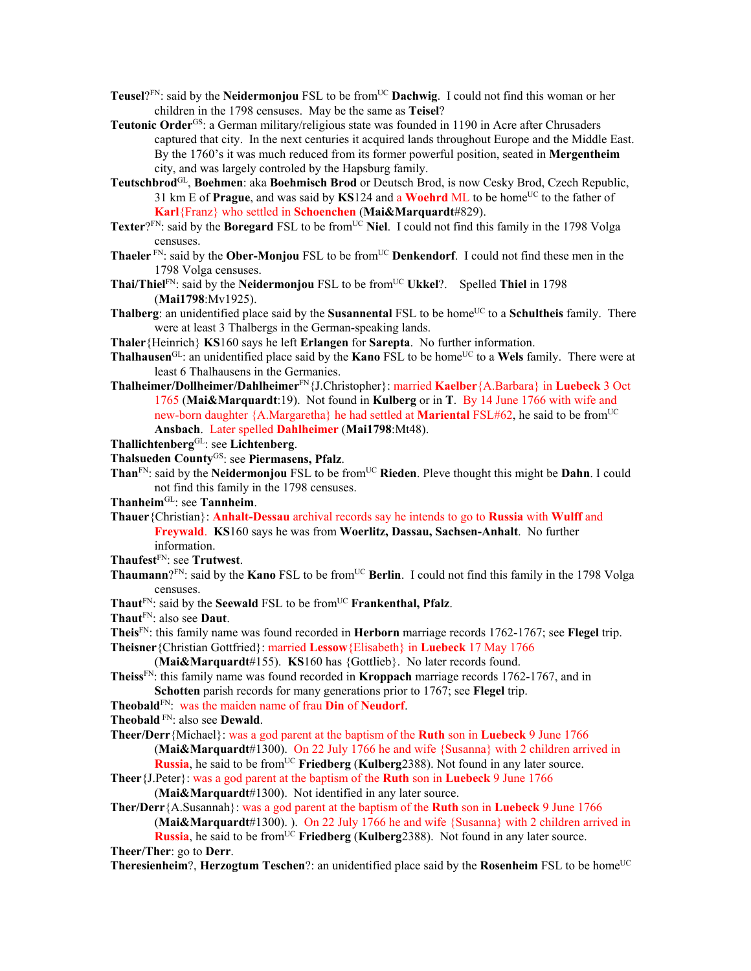- **Teusel**?FN: said by the **Neidermonjou** FSL to be from<sup>UC</sup> **Dachwig**. I could not find this woman or her children in the 1798 censuses. May be the same as **Teisel**?
- **Teutonic Order**GS: a German military/religious state was founded in 1190 in Acre after Chrusaders captured that city. In the next centuries it acquired lands throughout Europe and the Middle East. By the 1760's it was much reduced from its former powerful position, seated in **Mergentheim** city, and was largely controled by the Hapsburg family.
- **Teutschbrod**GL, **Boehmen**: aka **Boehmisch Brod** or Deutsch Brod, is now Cesky Brod, Czech Republic, 31 km E of **Prague**, and was said by **KS**124 and a **Woehrd** ML to be home<sup>UC</sup> to the father of **Karl**{Franz} who settled in **Schoenchen** (**Mai&Marquardt**#829).
- **Texter**? $F_N$ : said by the **Boregard** FSL to be from<sup>UC</sup> Niel. I could not find this family in the 1798 Volga censuses.
- **Thaeler**<sup>FN</sup>: said by the **Ober-Monjou** FSL to be from<sup>UC</sup> **Denkendorf**. I could not find these men in the 1798 Volga censuses.
- **Thai/Thiel**<sup>FN</sup>: said by the **Neidermonjou** FSL to be from<sup>UC</sup> Ukkel?. Spelled **Thiel** in 1798 (**Mai1798**:Mv1925).
- **Thalberg**: an unidentified place said by the **Susannental** FSL to be home<sup>UC</sup> to a **Schultheis** family. There were at least 3 Thalbergs in the German-speaking lands.
- **Thaler**{Heinrich} **KS**160 says he left **Erlangen** for **Sarepta**. No further information.
- **Thalhausen**<sup>GL</sup>: an unidentified place said by the **Kano** FSL to be home<sup>UC</sup> to a **Wels** family. There were at least 6 Thalhausens in the Germanies.
- **Thalheimer/Dollheimer/Dahlheimer**FN{J.Christopher}: married **Kaelber**{A.Barbara} in **Luebeck** 3 Oct 1765 (**Mai&Marquardt**:19). Not found in **Kulberg** or in **T**. By 14 June 1766 with wife and new-born daughter {A.Margaretha} he had settled at **Mariental** FSL#62, he said to be from<sup>UC</sup> **Ansbach**. Later spelled **Dahlheimer** (**Mai1798**:Mt48).
- **Thallichtenberg**GL: see **Lichtenberg**.
- **Thalsueden County**GS: see **Piermasens, Pfalz**.
- Than<sup>FN</sup>: said by the **Neidermonjou** FSL to be from<sup>UC</sup> Rieden. Pleve thought this might be **Dahn**. I could not find this family in the 1798 censuses.
- **Thanheim**GL: see **Tannheim**.
- **Thauer**{Christian}: **Anhalt-Dessau** archival records say he intends to go to **Russia** with **Wulff** and **Freywald**. **KS**160 says he was from **Woerlitz, Dassau, Sachsen-Anhalt**. No further information.
- **Thaufest**FN: see **Trutwest**.
- **Thaumann**?FN: said by the **Kano** FSL to be from<sup>UC</sup> **Berlin**. I could not find this family in the 1798 Volga censuses.
- **Thaut**FN: said by the **Seewald** FSL to be fromUC **Frankenthal, Pfalz**.
- **Thaut**FN: also see **Daut**.
- **Theis**FN: this family name was found recorded in **Herborn** marriage records 1762-1767; see **Flegel** trip.
- **Theisner**{Christian Gottfried}: married **Lessow**{Elisabeth} in **Luebeck** 17 May 1766 (**Mai&Marquardt**#155). **KS**160 has {Gottlieb}. No later records found.
	-
- **Theiss**FN: this family name was found recorded in **Kroppach** marriage records 1762-1767, and in **Schotten** parish records for many generations prior to 1767; see **Flegel** trip.
- **Theobald**FN: was the maiden name of frau **Din** of **Neudorf**.
- **Theobald** FN: also see **Dewald**.
- **Theer/Derr**{Michael}: was a god parent at the baptism of the **Ruth** son in **Luebeck** 9 June 1766 (**Mai&Marquardt**#1300). On 22 July 1766 he and wife {Susanna} with 2 children arrived in
- **Russia**, he said to be from<sup>UC</sup> **Friedberg** (**Kulberg**2388). Not found in any later source. **Theer**{J.Peter}: was a god parent at the baptism of the **Ruth** son in **Luebeck** 9 June 1766
	- (**Mai&Marquardt**#1300). Not identified in any later source.
- **Ther/Derr**{A.Susannah}: was a god parent at the baptism of the **Ruth** son in **Luebeck** 9 June 1766 (**Mai&Marquardt**#1300). ). On 22 July 1766 he and wife {Susanna} with 2 children arrived in

**Russia**, he said to be from<sup>UC</sup> **Friedberg** (**Kulberg**2388). Not found in any later source. **Theer/Ther**: go to **Derr**.

**Theresienheim?, Herzogtum Teschen?:** an unidentified place said by the **Rosenheim** FSL to be home<sup>UC</sup>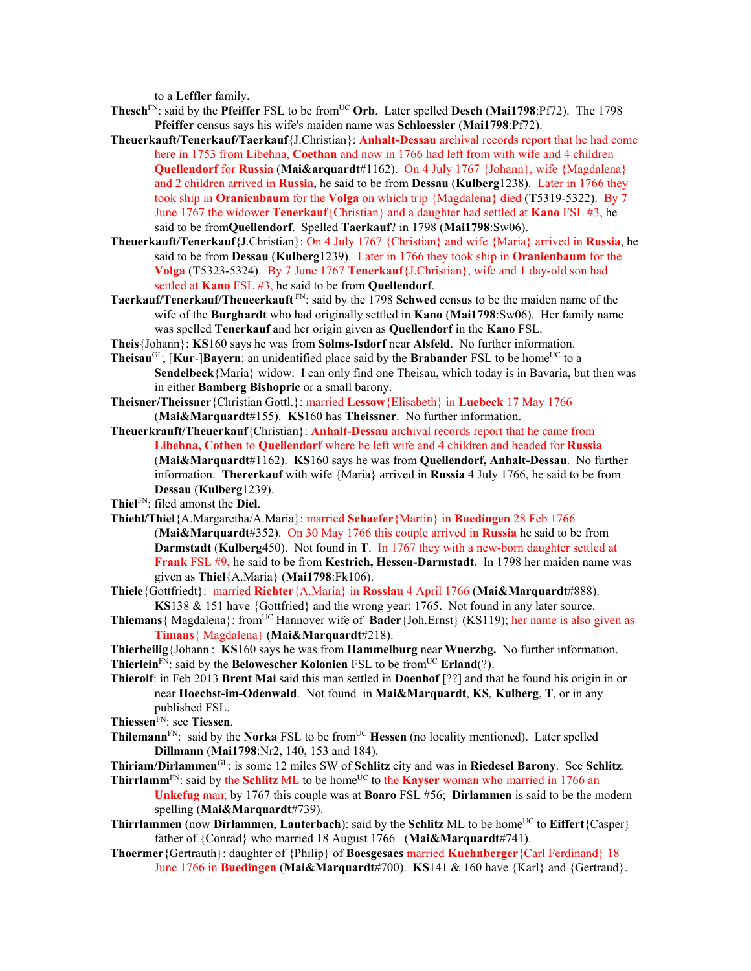to a **Leffler** family.

- **Thesch**<sup>FN</sup>: said by the **Pfeiffer** FSL to be from<sup>UC</sup> Orb. Later spelled Desch (Mai1798:Pf72). The 1798 **Pfeiffer** census says his wife's maiden name was **Schloessler** (**Mai1798**:Pf72).
- **Theuerkauft/Tenerkauf/Taerkauf**{J.Christian}: **Anhalt-Dessau** archival records report that he had come here in 1753 from Libehna, **Coethan** and now in 1766 had left from with wife and 4 children **Quellendorf** for **Russia** (**Mai&arquardt**#1162). On 4 July 1767 {Johann}, wife {Magdalena} and 2 children arrived in **Russia**, he said to be from **Dessau** (**Kulberg**1238). Later in 1766 they took ship in **Oranienbaum** for the **Volga** on which trip {Magdalena} died (**T**5319-5322). By 7 June 1767 the widower **Tenerkauf**{Christian} and a daughter had settled at **Kano** FSL #3, he said to be from**Quellendorf**. Spelled **Taerkauf**? in 1798 (**Mai1798**:Sw06).
- **Theuerkauft/Tenerkauf**{J.Christian}: On 4 July 1767 {Christian} and wife {Maria} arrived in **Russia**, he said to be from **Dessau** (**Kulberg**1239). Later in 1766 they took ship in **Oranienbaum** for the **Volga** (**T**5323-5324). By 7 June 1767 **Tenerkauf**{J.Christian}, wife and 1 day-old son had settled at **Kano** FSL #3, he said to be from **Quellendorf**.
- **Taerkauf/Tenerkauf/Theueerkauft** FN: said by the 1798 **Schwed** census to be the maiden name of the wife of the **Burghardt** who had originally settled in **Kano** (**Mai1798**:Sw06). Her family name was spelled **Tenerkauf** and her origin given as **Quellendorf** in the **Kano** FSL.
- **Theis**{Johann}: **KS**160 says he was from **Solms-Isdorf** near **Alsfeld**. No further information.
- **Theisau**<sup>GL</sup>, [**Kur-**]Bayern: an unidentified place said by the Brabander FSL to be home<sup>UC</sup> to a **Sendelbeck**{Maria} widow. I can only find one Theisau, which today is in Bavaria, but then was in either **Bamberg Bishopric** or a small barony.
- **Theisner/Theissner**{Christian Gottl.}: married **Lessow**{Elisabeth} in **Luebeck** 17 May 1766 (**Mai&Marquardt**#155). **KS**160 has **Theissner**. No further information.
- **Theuerkrauft/Theuerkauf**{Christian}: **Anhalt-Dessau** archival records report that he came from **Libehna, Cothen** to **Quellendorf** where he left wife and 4 children and headed for **Russia**  (**Mai&Marquardt**#1162). **KS**160 says he was from **Quellendorf, Anhalt-Dessau**. No further information. **Thererkauf** with wife {Maria} arrived in **Russia** 4 July 1766, he said to be from **Dessau** (**Kulberg**1239).
- **Thiel**FN: filed amonst the **Diel**.
- **Thiehl/Thiel**{A.Margaretha/A.Maria}: married **Schaefer**{Martin} in **Buedingen** 28 Feb 1766 (**Mai&Marquardt**#352). On 30 May 1766 this couple arrived in **Russia** he said to be from **Darmstadt** (**Kulberg**450). Not found in **T**. In 1767 they with a new-born daughter settled at **Frank** FSL #9, he said to be from **Kestrich, Hessen-Darmstadt**. In 1798 her maiden name was given as **Thiel**{A.Maria} (**Mai1798**:Fk106).
- **Thiele**{Gottfriedt}: married **Richter**{A.Maria} in **Rosslau** 4 April 1766 (**Mai&Marquardt**#888). **KS**138 & 151 have {Gottfried} and the wrong year: 1765. Not found in any later source.
- Thiemans { Magdalena}: from<sup>UC</sup> Hannover wife of **Bader** {Joh.Ernst} (KS119); her name is also given as **Timans**{ Magdalena} (**Mai&Marquardt**#218).
- **Thierheilig**{Johann|: **KS**160 says he was from **Hammelburg** near **Wuerzbg.** No further information. **Thierlein**<sup>FN</sup>: said by the **Belowescher Kolonien** FSL to be from<sup>UC</sup> **Erland**(?).
- **Thierolf**: in Feb 2013 **Brent Mai** said this man settled in **Doenhof** [??] and that he found his origin in or near **Hoechst-im-Odenwald**. Not found in **Mai&Marquardt**, **KS**, **Kulberg**, **T**, or in any published FSL.

**Thiessen**FN: see **Tiessen**.

- Thilemann<sup>FN</sup>: said by the **Norka** FSL to be from<sup>UC</sup> **Hessen** (no locality mentioned). Later spelled **Dillmann** (**Mai1798**:Nr2, 140, 153 and 184).
- **Thiriam/Dirlammen**GL: is some 12 miles SW of **Schlitz** city and was in **Riedesel Barony**. See **Schlitz**. **Thirrlamm**<sup>FN</sup>: said by the **Schlitz** ML to be home<sup>UC</sup> to the **Kayser** woman who married in 1766 an
	- **Unkefug** man; by 1767 this couple was at **Boaro** FSL #56; **Dirlammen** is said to be the modern spelling (**Mai&Marquardt**#739).
- **Thirrlammen** (now **Dirlammen**, **Lauterbach**): said by the **Schlitz** ML to be home<sup>UC</sup> to **Eiffert**{Casper} father of {Conrad} who married 18 August 1766 (**Mai&Marquardt**#741).
- **Thoermer**{Gertrauth}: daughter of {Philip} of **Boesgesaes** married **Kuehnberger**{Carl Ferdinand} 18 June 1766 in **Buedingen** (**Mai&Marquardt**#700). **KS**141 & 160 have {Karl} and {Gertraud}.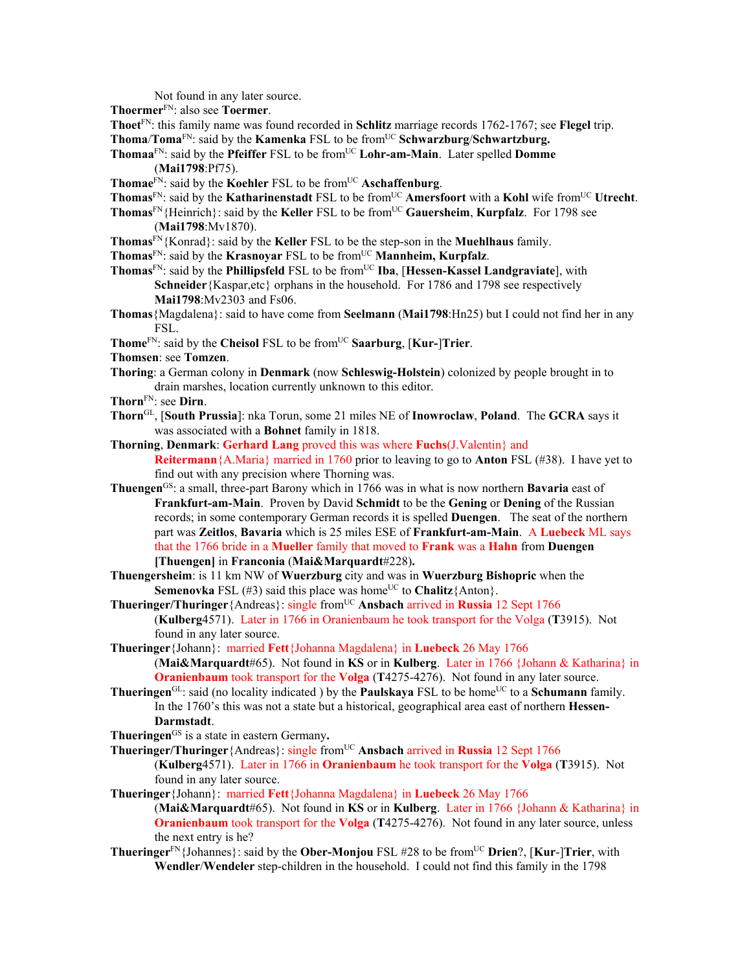Not found in any later source.

**Thoermer**FN: also see **Toermer**.

**Thoet**FN: this family name was found recorded in **Schlitz** marriage records 1762-1767; see **Flegel** trip.

**Thoma/Toma**<sup>FN</sup>: said by the **Kamenka** FSL to be from<sup>UC</sup> **Schwarzburg/Schwartzburg.** 

**Thomaa**<sup>FN</sup>: said by the **Pfeiffer** FSL to be from<sup>UC</sup> **Lohr-am-Main**. Later spelled **Domme** (**Mai1798**:Pf75).

**Thomae** $F_N$ : said by the **Koehler** FSL to be from<sup>UC</sup> **Aschaffenburg**.

- **Thomas**<sup>FN</sup>: said by the **Katharinenstadt** FSL to be from<sup>UC</sup> **Amersfoort** with a **Kohl** wife from<sup>UC</sup> **Utrecht**.
- **Thomas**FN{Heinrich}: said by the **Keller** FSL to be fromUC **Gauersheim**, **Kurpfalz**. For 1798 see (**Mai1798**:Mv1870).
- **Thomas**FN{Konrad}: said by the **Keller** FSL to be the step-son in the **Muehlhaus** family.

Thomas<sup>FN</sup>: said by the **Krasnoyar** FSL to be from<sup>UC</sup> **Mannheim, Kurpfalz**.

- **Thomas**<sup>FN</sup>: said by the **Phillipsfeld** FSL to be from<sup>UC</sup> **Iba**, [Hessen-Kassel Landgraviate], with **Schneider**{Kaspar,etc} orphans in the household. For 1786 and 1798 see respectively **Mai1798**:Mv2303 and Fs06.
- **Thomas**{Magdalena}: said to have come from **Seelmann** (**Mai1798**:Hn25) but I could not find her in any FSL.
- **Thome**FN: said by the **Cheisol** FSL to be fromUC **Saarburg**, [**Kur-**]**Trier**.

**Thomsen**: see **Tomzen**.

**Thoring**: a German colony in **Denmark** (now **Schleswig-Holstein**) colonized by people brought in to drain marshes, location currently unknown to this editor.

**Thorn**FN: see **Dirn**.

- **Thorn**GL, [**South Prussia**]: nka Torun, some 21 miles NE of **Inowroclaw**, **Poland**. The **GCRA** says it was associated with a **Bohnet** family in 1818.
- **Thorning**, **Denmark**: **Gerhard Lang** proved this was where **Fuchs**(J.Valentin} and **Reitermann**{A.Maria} married in 1760 prior to leaving to go to **Anton** FSL (#38). I have yet to find out with any precision where Thorning was.
- **Thuengen**GS: a small, three-part Barony which in 1766 was in what is now northern **Bavaria** east of **Frankfurt-am-Main**. Proven by David **Schmidt** to be the **Gening** or **Dening** of the Russian records; in some contemporary German records it is spelled **Duengen**. The seat of the northern part was **Zeitlos**, **Bavaria** which is 25 miles ESE of **Frankfurt-am-Main**. A **Luebeck** ML says that the 1766 bride in a **Mueller** family that moved to **Frank** was a **Hahn** from **Duengen [Thuengen]** in **Franconia** (**Mai&Marquardt**#228)**.**
- **Thuengersheim**: is 11 km NW of **Wuerzburg** city and was in **Wuerzburg Bishopric** when the **Semenovka** FSL (#3) said this place was home<sup>UC</sup> to **Chalitz**{Anton}.
- **Thueringer/Thuringer**{Andreas}: single from<sup>UC</sup> Ansbach arrived in **Russia** 12 Sept 1766 (**Kulberg**4571). Later in 1766 in Oranienbaum he took transport for the Volga (**T**3915). Not found in any later source.
- **Thueringer**{Johann}: married **Fett**{Johanna Magdalena} in **Luebeck** 26 May 1766 (**Mai&Marquardt**#65). Not found in **KS** or in **Kulberg**. Later in 1766 {Johann & Katharina} in **Oranienbaum** took transport for the **Volga** (**T**4275-4276). Not found in any later source.
- **Thueringen**<sup>GL</sup>: said (no locality indicated ) by the **Paulskaya** FSL to be home<sup>UC</sup> to a **Schumann** family. In the 1760's this was not a state but a historical, geographical area east of northern **Hessen-Darmstadt**.
- **Thueringen**GS is a state in eastern Germany**.**
- **Thueringer/Thuringer**{Andreas}: single from<sup>UC</sup> Ansbach arrived in **Russia** 12 Sept 1766 (**Kulberg**4571). Later in 1766 in **Oranienbaum** he took transport for the **Volga** (**T**3915). Not found in any later source.
- **Thueringer**{Johann}: married **Fett**{Johanna Magdalena} in **Luebeck** 26 May 1766 (**Mai&Marquardt**#65). Not found in **KS** or in **Kulberg**. Later in 1766 {Johann & Katharina} in **Oranienbaum** took transport for the **Volga** (**T**4275-4276). Not found in any later source, unless the next entry is he?
- **Thueringer**FN{Johannes}: said by the **Ober-Monjou** FSL #28 to be fromUC **Drien**?, [**Kur**-]**Trier**, with **Wendler**/**Wendeler** step-children in the household. I could not find this family in the 1798